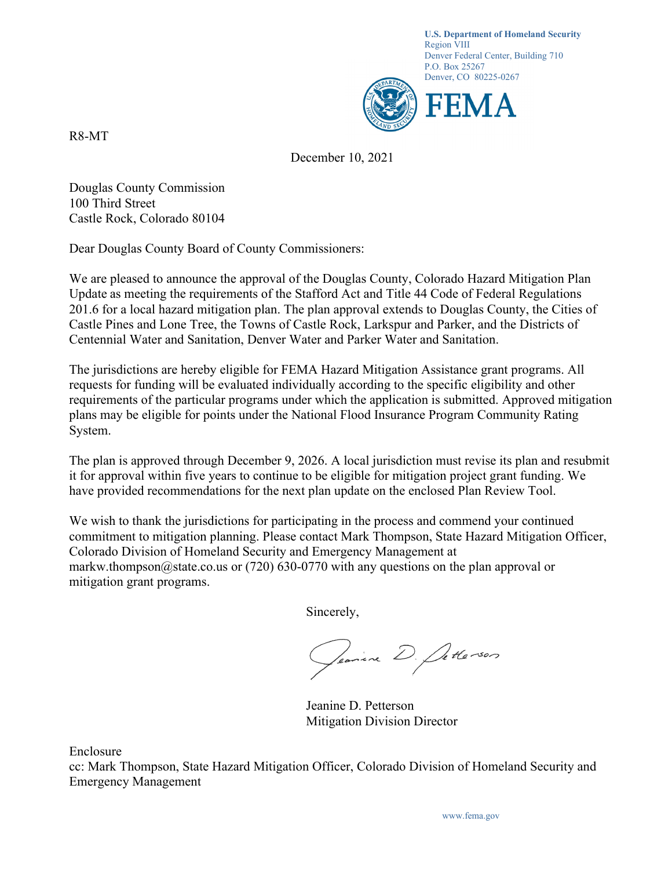

R8-MT

December 10, 2021

Douglas County Commission 100 Third Street Castle Rock, Colorado 80104

Dear Douglas County Board of County Commissioners:

We are pleased to announce the approval of the Douglas County, Colorado Hazard Mitigation Plan Update as meeting the requirements of the Stafford Act and Title 44 Code of Federal Regulations 201.6 for a local hazard mitigation plan. The plan approval extends to Douglas County, the Cities of Castle Pines and Lone Tree, the Towns of Castle Rock, Larkspur and Parker, and the Districts of Centennial Water and Sanitation, Denver Water and Parker Water and Sanitation.

The jurisdictions are hereby eligible for FEMA Hazard Mitigation Assistance grant programs. All requests for funding will be evaluated individually according to the specific eligibility and other requirements of the particular programs under which the application is submitted. Approved mitigation plans may be eligible for points under the National Flood Insurance Program Community Rating System.

The plan is approved through December 9, 2026. A local jurisdiction must revise its plan and resubmit it for approval within five years to continue to be eligible for mitigation project grant funding. We have provided recommendations for the next plan update on the enclosed Plan Review Tool.

We wish to thank the jurisdictions for participating in the process and commend your continued commitment to mitigation planning. Please contact Mark Thompson, State Hazard Mitigation Officer, Colorado Division of Homeland Security and Emergency Management at markw.thompson@state.co.us or (720) 630-0770 with any questions on the plan approval or mitigation grant programs.

Sincerely,

Jeanine D. Letterson

 Jeanine D. Petterson Mitigation Division Director

Enclosure

cc: Mark Thompson, State Hazard Mitigation Officer, Colorado Division of Homeland Security and Emergency Management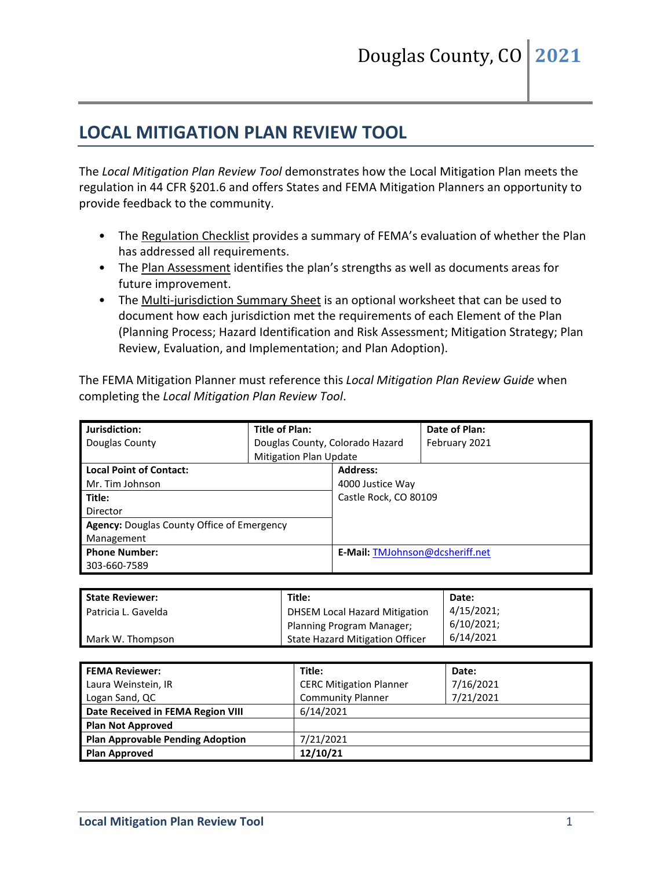## **LOCAL MITIGATION PLAN REVIEW TOOL**

The *Local Mitigation Plan Review Tool* demonstrates how the Local Mitigation Plan meets the regulation in 44 CFR §201.6 and offers States and FEMA Mitigation Planners an opportunity to provide feedback to the community.

- The Regulation Checklist provides a summary of FEMA's evaluation of whether the Plan has addressed all requirements.
- The Plan Assessment identifies the plan's strengths as well as documents areas for future improvement.
- The Multi-jurisdiction Summary Sheet is an optional worksheet that can be used to document how each jurisdiction met the requirements of each Element of the Plan (Planning Process; Hazard Identification and Risk Assessment; Mitigation Strategy; Plan Review, Evaluation, and Implementation; and Plan Adoption).

The FEMA Mitigation Planner must reference this *Local Mitigation Plan Review Guide* when completing the *Local Mitigation Plan Review Tool*.

| Jurisdiction:                                     | <b>Title of Plan:</b>           |                                 | Date of Plan: |  |
|---------------------------------------------------|---------------------------------|---------------------------------|---------------|--|
| Douglas County                                    | Douglas County, Colorado Hazard |                                 | February 2021 |  |
|                                                   | <b>Mitigation Plan Update</b>   |                                 |               |  |
| <b>Local Point of Contact:</b>                    |                                 | <b>Address:</b>                 |               |  |
| Mr. Tim Johnson                                   |                                 | 4000 Justice Way                |               |  |
| Title:                                            |                                 | Castle Rock, CO 80109           |               |  |
| Director                                          |                                 |                                 |               |  |
| <b>Agency:</b> Douglas County Office of Emergency |                                 |                                 |               |  |
| Management                                        |                                 |                                 |               |  |
| <b>Phone Number:</b>                              |                                 | E-Mail: TMJohnson@dcsheriff.net |               |  |
| 303-660-7589                                      |                                 |                                 |               |  |

| <b>State Reviewer:</b>     | Title:                           | Date:      |
|----------------------------|----------------------------------|------------|
| <b>Patricia L. Gavelda</b> | DHSEM Local Hazard Mitigation    | 4/15/2021; |
|                            | <b>Planning Program Manager;</b> | 6/10/2021: |
| Mark W. Thompson           | State Hazard Mitigation Officer  | 6/14/2021  |

| <b>FEMA Reviewer:</b>                   | Title:                         | Date:     |
|-----------------------------------------|--------------------------------|-----------|
| Laura Weinstein, IR                     | <b>CERC Mitigation Planner</b> | 7/16/2021 |
| Logan Sand, QC                          | <b>Community Planner</b>       | 7/21/2021 |
| Date Received in FEMA Region VIII       | 6/14/2021                      |           |
| <b>Plan Not Approved</b>                |                                |           |
| <b>Plan Approvable Pending Adoption</b> | 7/21/2021                      |           |
| <b>Plan Approved</b>                    | 12/10/21                       |           |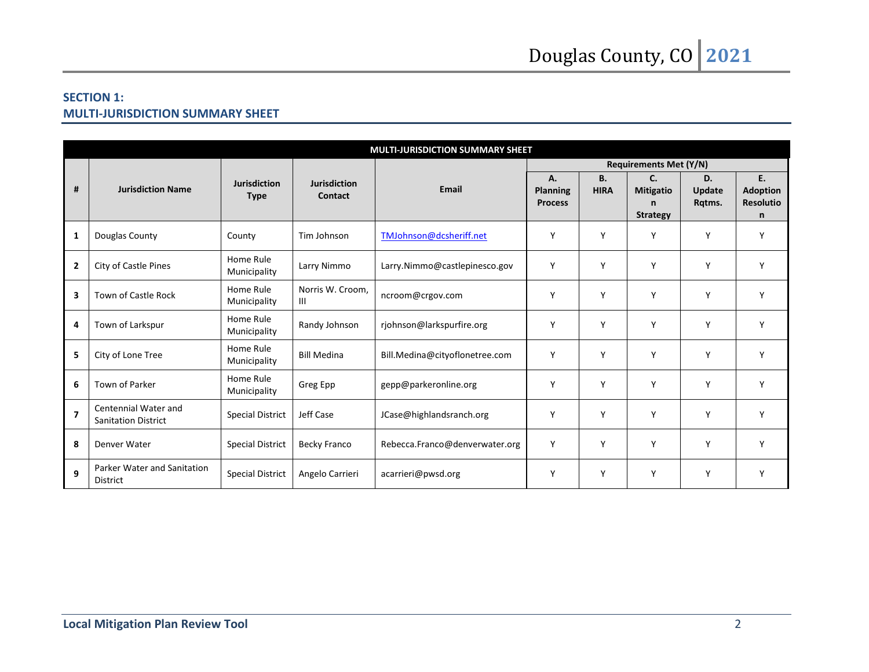### **SECTION 1: MULTI-JURISDICTION SUMMARY SHEET**

|                         | <b>MULTI-JURISDICTION SUMMARY SHEET</b>            |                                    |                                |                                |                                         |                          |                                                            |                               |                                                |
|-------------------------|----------------------------------------------------|------------------------------------|--------------------------------|--------------------------------|-----------------------------------------|--------------------------|------------------------------------------------------------|-------------------------------|------------------------------------------------|
|                         |                                                    |                                    |                                |                                | <b>Requirements Met (Y/N)</b>           |                          |                                                            |                               |                                                |
| #                       | <b>Jurisdiction Name</b>                           | <b>Jurisdiction</b><br><b>Type</b> | <b>Jurisdiction</b><br>Contact | Email                          | А.<br><b>Planning</b><br><b>Process</b> | <b>B.</b><br><b>HIRA</b> | C <sub>1</sub><br><b>Mitigatio</b><br>n<br><b>Strategy</b> | D.<br><b>Update</b><br>Rqtms. | E.<br><b>Adoption</b><br><b>Resolutio</b><br>n |
| 1                       | Douglas County                                     | County                             | Tim Johnson                    | TMJohnson@dcsheriff.net        | Y                                       | Y                        | Y                                                          | Y                             | Y                                              |
| $\overline{2}$          | City of Castle Pines                               | Home Rule<br>Municipality          | Larry Nimmo                    | Larry.Nimmo@castlepinesco.gov  | Y                                       | Y                        | Y                                                          | Y                             | Υ                                              |
| $\overline{\mathbf{3}}$ | <b>Town of Castle Rock</b>                         | Home Rule<br>Municipality          | Norris W. Croom.<br>Ш          | ncroom@crgov.com               | Y                                       | Y                        | Y                                                          | Y                             | Y                                              |
| 4                       | Town of Larkspur                                   | Home Rule<br>Municipality          | Randy Johnson                  | rjohnson@larkspurfire.org      | Y                                       | Y                        | Y                                                          | Y                             | Y                                              |
| 5                       | City of Lone Tree                                  | Home Rule<br>Municipality          | <b>Bill Medina</b>             | Bill.Medina@cityoflonetree.com | Y                                       | Y                        | Y                                                          | Y                             | Y                                              |
| 6                       | Town of Parker                                     | Home Rule<br>Municipality          | Greg Epp                       | gepp@parkeronline.org          | Y                                       | Y                        | Y                                                          | Y                             | Y                                              |
| $\overline{\mathbf{z}}$ | Centennial Water and<br><b>Sanitation District</b> | <b>Special District</b>            | Jeff Case                      | JCase@highlandsranch.org       | Y                                       | Y                        | Y                                                          | Y                             | Y                                              |
| 8                       | Denver Water                                       | <b>Special District</b>            | Becky Franco                   | Rebecca.Franco@denverwater.org | Y                                       | Y                        | Y                                                          | Y                             | Y                                              |
| $\mathbf{9}$            | Parker Water and Sanitation<br><b>District</b>     | <b>Special District</b>            | Angelo Carrieri                | acarrieri@pwsd.org             | Y                                       | Y                        | Y                                                          | Υ                             | Υ                                              |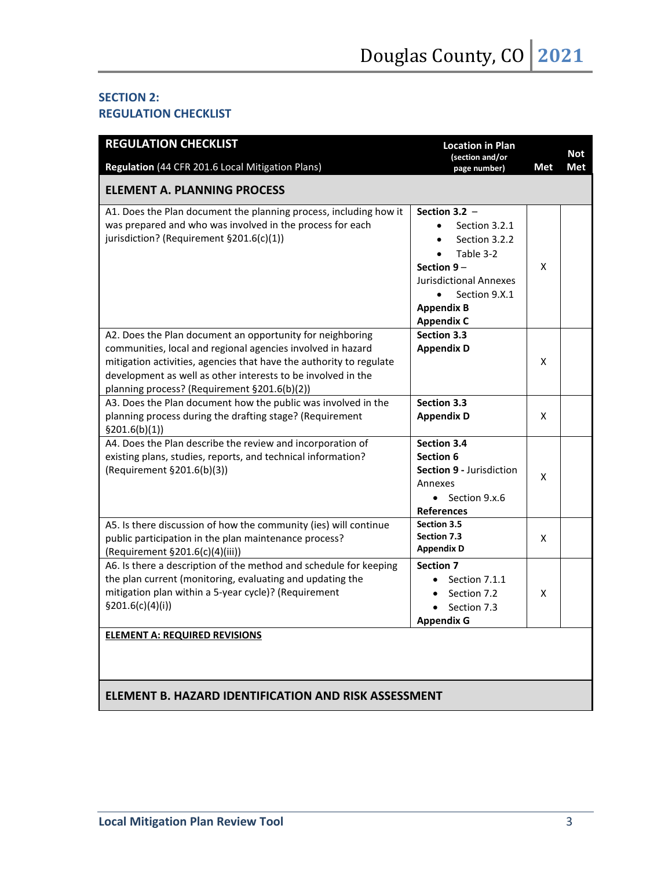#### **SECTION 2: REGULATION CHECKLIST**

| <b>REGULATION CHECKLIST</b>                                                                                                                                                                                                                                                                                     | <b>Location in Plan</b>                                                                                                                                                                                           | (section and/or |                   |  |
|-----------------------------------------------------------------------------------------------------------------------------------------------------------------------------------------------------------------------------------------------------------------------------------------------------------------|-------------------------------------------------------------------------------------------------------------------------------------------------------------------------------------------------------------------|-----------------|-------------------|--|
| Regulation (44 CFR 201.6 Local Mitigation Plans)                                                                                                                                                                                                                                                                | page number)                                                                                                                                                                                                      | Met             | <b>Not</b><br>Met |  |
| <b>ELEMENT A. PLANNING PROCESS</b>                                                                                                                                                                                                                                                                              |                                                                                                                                                                                                                   |                 |                   |  |
| A1. Does the Plan document the planning process, including how it<br>was prepared and who was involved in the process for each<br>jurisdiction? (Requirement §201.6(c)(1))                                                                                                                                      | Section 3.2 $-$<br>Section 3.2.1<br>$\bullet$<br>Section 3.2.2<br>$\bullet$<br>Table 3-2<br>Section $9-$<br><b>Jurisdictional Annexes</b><br>Section 9.X.1<br>$\bullet$<br><b>Appendix B</b><br><b>Appendix C</b> | X               |                   |  |
| A2. Does the Plan document an opportunity for neighboring<br>communities, local and regional agencies involved in hazard<br>mitigation activities, agencies that have the authority to regulate<br>development as well as other interests to be involved in the<br>planning process? (Requirement §201.6(b)(2)) | <b>Section 3.3</b><br><b>Appendix D</b>                                                                                                                                                                           | x               |                   |  |
| A3. Does the Plan document how the public was involved in the<br>planning process during the drafting stage? (Requirement<br>\$201.6(b)(1)]                                                                                                                                                                     | <b>Section 3.3</b><br><b>Appendix D</b>                                                                                                                                                                           | x               |                   |  |
| A4. Does the Plan describe the review and incorporation of<br>existing plans, studies, reports, and technical information?<br>(Requirement §201.6(b)(3))                                                                                                                                                        | <b>Section 3.4</b><br>Section 6<br><b>Section 9 - Jurisdiction</b><br>Annexes<br>$\bullet$ Section 9.x.6<br><b>References</b>                                                                                     | X               |                   |  |
| A5. Is there discussion of how the community (ies) will continue<br>public participation in the plan maintenance process?<br>(Requirement §201.6(c)(4)(iii))                                                                                                                                                    | <b>Section 3.5</b><br><b>Section 7.3</b><br><b>Appendix D</b>                                                                                                                                                     | X               |                   |  |
| A6. Is there a description of the method and schedule for keeping<br>the plan current (monitoring, evaluating and updating the<br>mitigation plan within a 5-year cycle)? (Requirement<br>\$201.6(c)(4)(i))                                                                                                     | <b>Section 7</b><br>Section 7.1.1<br>$\bullet$<br>Section 7.2<br>$\bullet$<br>Section 7.3<br><b>Appendix G</b>                                                                                                    | X               |                   |  |
| <b>ELEMENT A: REQUIRED REVISIONS</b>                                                                                                                                                                                                                                                                            |                                                                                                                                                                                                                   |                 |                   |  |

## **ELEMENT B. HAZARD IDENTIFICATION AND RISK ASSESSMENT**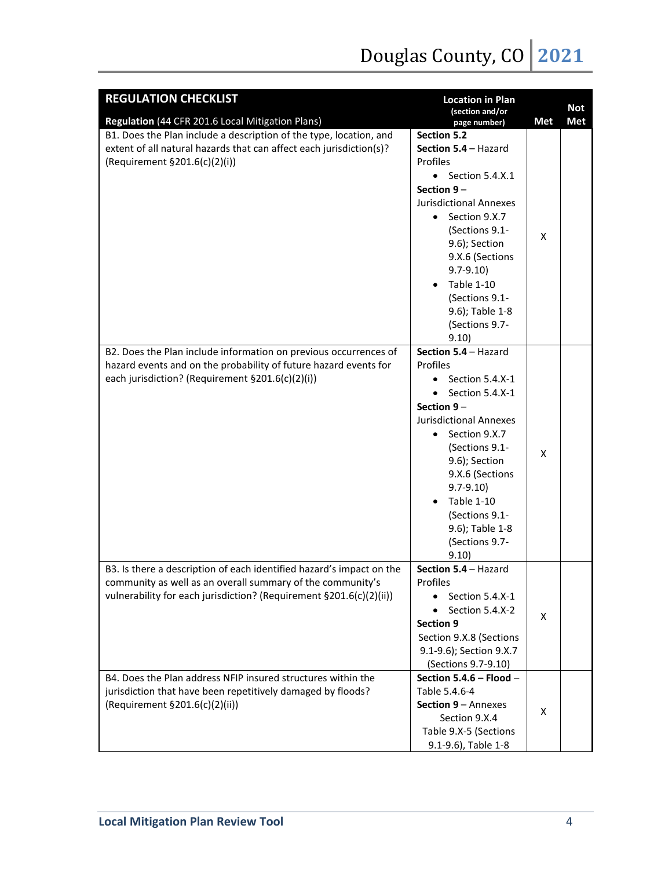| <b>REGULATION CHECKLIST</b><br><b>Location in Plan</b>                                                                                                                                                    |                                                                                                                                                                                                                                                                                                                        |   | <b>Not</b> |
|-----------------------------------------------------------------------------------------------------------------------------------------------------------------------------------------------------------|------------------------------------------------------------------------------------------------------------------------------------------------------------------------------------------------------------------------------------------------------------------------------------------------------------------------|---|------------|
| (section and/or<br>Regulation (44 CFR 201.6 Local Mitigation Plans)<br>page number)                                                                                                                       |                                                                                                                                                                                                                                                                                                                        |   | <b>Met</b> |
| B1. Does the Plan include a description of the type, location, and<br>extent of all natural hazards that can affect each jurisdiction(s)?<br>(Requirement §201.6(c)(2)(i))                                | Section 5.2<br>Section 5.4 - Hazard<br>Profiles<br>$\bullet$ Section 5.4.X.1<br>Section $9-$<br><b>Jurisdictional Annexes</b><br>Section 9.X.7<br>$\bullet$<br>(Sections 9.1-<br>9.6); Section<br>9.X.6 (Sections<br>$9.7 - 9.10$<br><b>Table 1-10</b><br>(Sections 9.1-<br>9.6); Table 1-8<br>(Sections 9.7-<br>9.10) | X |            |
| B2. Does the Plan include information on previous occurrences of<br>hazard events and on the probability of future hazard events for<br>each jurisdiction? (Requirement §201.6(c)(2)(i))                  | Section 5.4 - Hazard<br>Profiles<br>Section 5.4.X-1<br>Section 5.4.X-1<br>Section 9-<br><b>Jurisdictional Annexes</b><br>Section 9.X.7<br>$\bullet$<br>(Sections 9.1-<br>9.6); Section<br>9.X.6 (Sections<br>$9.7 - 9.10$<br><b>Table 1-10</b><br>(Sections 9.1-<br>9.6); Table 1-8<br>(Sections 9.7-<br>9.10)         | X |            |
| B3. Is there a description of each identified hazard's impact on the<br>community as well as an overall summary of the community's<br>vulnerability for each jurisdiction? (Requirement §201.6(c)(2)(ii)) | Section 5.4 - Hazard<br>Profiles<br>Section 5.4.X-1<br>Section 5.4.X-2<br><b>Section 9</b><br>Section 9.X.8 (Sections<br>9.1-9.6); Section 9.X.7<br>(Sections 9.7-9.10)                                                                                                                                                | X |            |
| B4. Does the Plan address NFIP insured structures within the<br>jurisdiction that have been repetitively damaged by floods?<br>(Requirement §201.6(c)(2)(ii))                                             | Section 5.4.6 - Flood -<br>Table 5.4.6-4<br>Section 9 - Annexes<br>Section 9.X.4<br>Table 9.X-5 (Sections<br>9.1-9.6), Table 1-8                                                                                                                                                                                       | X |            |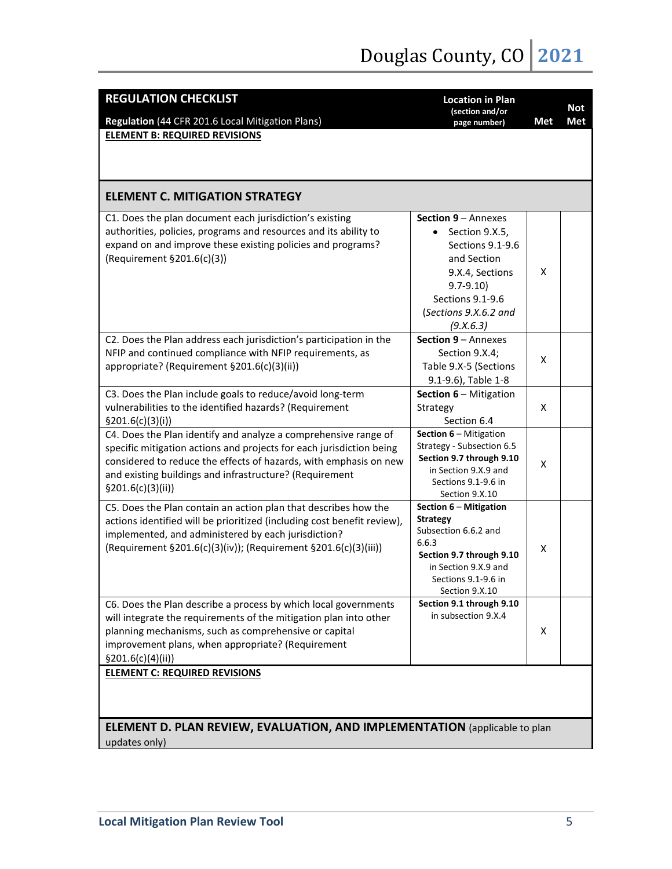| <b>REGULATION CHECKLIST</b><br><b>Location in Plan</b><br>(section and/or<br>Regulation (44 CFR 201.6 Local Mitigation Plans)<br>page number)                                                                                                                                                 |                                                                                                                                                                                           |     | <b>Not</b><br>Met |
|-----------------------------------------------------------------------------------------------------------------------------------------------------------------------------------------------------------------------------------------------------------------------------------------------|-------------------------------------------------------------------------------------------------------------------------------------------------------------------------------------------|-----|-------------------|
| <b>ELEMENT B: REQUIRED REVISIONS</b>                                                                                                                                                                                                                                                          |                                                                                                                                                                                           | Met |                   |
|                                                                                                                                                                                                                                                                                               |                                                                                                                                                                                           |     |                   |
| <b>ELEMENT C. MITIGATION STRATEGY</b>                                                                                                                                                                                                                                                         |                                                                                                                                                                                           |     |                   |
| C1. Does the plan document each jurisdiction's existing<br>authorities, policies, programs and resources and its ability to<br>expand on and improve these existing policies and programs?<br>(Requirement §201.6(c)(3))                                                                      | <b>Section 9 – Annexes</b><br>Section 9.X.5,<br>$\bullet$<br>Sections 9.1-9.6<br>and Section<br>9.X.4, Sections<br>$9.7 - 9.10$<br>Sections 9.1-9.6<br>(Sections 9.X.6.2 and<br>(9.X.6.3) | X   |                   |
| C2. Does the Plan address each jurisdiction's participation in the<br>NFIP and continued compliance with NFIP requirements, as<br>appropriate? (Requirement §201.6(c)(3)(ii))                                                                                                                 | Section 9 - Annexes<br>Section 9.X.4;<br>Table 9.X-5 (Sections<br>9.1-9.6), Table 1-8                                                                                                     | X   |                   |
| C3. Does the Plan include goals to reduce/avoid long-term<br>vulnerabilities to the identified hazards? (Requirement<br>\$201.6(c)(3)(i))                                                                                                                                                     | Section 6 - Mitigation<br>Strategy<br>Section 6.4                                                                                                                                         | X   |                   |
| C4. Does the Plan identify and analyze a comprehensive range of<br>specific mitigation actions and projects for each jurisdiction being<br>considered to reduce the effects of hazards, with emphasis on new<br>and existing buildings and infrastructure? (Requirement<br>\$201.6(c)(3)(ii)) | <b>Section 6 – Mitigation</b><br>Strategy - Subsection 6.5<br>Section 9.7 through 9.10<br>in Section 9.X.9 and<br>Sections 9.1-9.6 in<br>Section 9.X.10                                   | X   |                   |
| C5. Does the Plan contain an action plan that describes how the<br>actions identified will be prioritized (including cost benefit review),<br>implemented, and administered by each jurisdiction?<br>(Requirement §201.6(c)(3)(iv)); (Requirement §201.6(c)(3)(iii))                          | Section 6 - Mitigation<br><b>Strategy</b><br>Subsection 6.6.2 and<br>6.6.3<br>Section 9.7 through 9.10<br>in Section 9.X.9 and<br>Sections 9.1-9.6 in<br>Section 9.X.10                   | X   |                   |
| C6. Does the Plan describe a process by which local governments<br>will integrate the requirements of the mitigation plan into other<br>planning mechanisms, such as comprehensive or capital<br>improvement plans, when appropriate? (Requirement<br>\$201.6(c)(4)(ii)                       | Section 9.1 through 9.10<br>in subsection 9.X.4                                                                                                                                           | X   |                   |
| <b>ELEMENT C: REQUIRED REVISIONS</b>                                                                                                                                                                                                                                                          |                                                                                                                                                                                           |     |                   |
| <b>ELEMENT D. PLAN REVIEW, EVALUATION, AND IMPLEMENTATION</b> (applicable to plan<br>updates only)                                                                                                                                                                                            |                                                                                                                                                                                           |     |                   |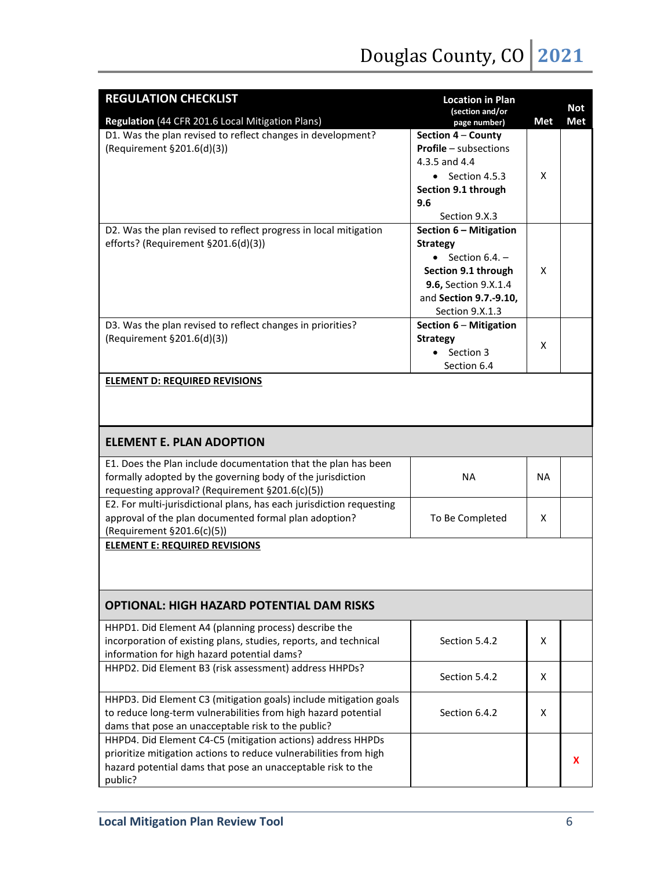# Douglas County, CO 2021

| <b>REGULATION CHECKLIST</b>                                          | <b>Location in Plan</b><br>(section and/or |           | <b>Not</b> |
|----------------------------------------------------------------------|--------------------------------------------|-----------|------------|
| Regulation (44 CFR 201.6 Local Mitigation Plans)                     | page number)                               | Met       | Met        |
| D1. Was the plan revised to reflect changes in development?          | Section 4 - County                         |           |            |
| (Requirement §201.6(d)(3))                                           | <b>Profile</b> - subsections               |           |            |
|                                                                      | 4.3.5 and 4.4                              |           |            |
|                                                                      | $\bullet$ Section 4.5.3                    | X         |            |
|                                                                      | Section 9.1 through                        |           |            |
|                                                                      | 9.6                                        |           |            |
|                                                                      | Section 9.X.3                              |           |            |
| D2. Was the plan revised to reflect progress in local mitigation     | Section 6 - Mitigation                     |           |            |
| efforts? (Requirement §201.6(d)(3))                                  | <b>Strategy</b>                            |           |            |
|                                                                      | • Section $6.4.$ –                         |           |            |
|                                                                      | Section 9.1 through                        | X         |            |
|                                                                      | 9.6, Section 9.X.1.4                       |           |            |
|                                                                      | and Section 9.7.-9.10,                     |           |            |
|                                                                      | Section 9.X.1.3                            |           |            |
| D3. Was the plan revised to reflect changes in priorities?           | Section 6 - Mitigation                     |           |            |
| (Requirement §201.6(d)(3))                                           | <b>Strategy</b>                            |           |            |
|                                                                      | Section 3<br>$\bullet$                     | X         |            |
|                                                                      | Section 6.4                                |           |            |
| <b>ELEMENT D: REQUIRED REVISIONS</b>                                 |                                            |           |            |
| <b>ELEMENT E. PLAN ADOPTION</b>                                      |                                            |           |            |
| E1. Does the Plan include documentation that the plan has been       |                                            |           |            |
| formally adopted by the governing body of the jurisdiction           | <b>NA</b>                                  | <b>NA</b> |            |
| requesting approval? (Requirement §201.6(c)(5))                      |                                            |           |            |
| E2. For multi-jurisdictional plans, has each jurisdiction requesting |                                            |           |            |
| approval of the plan documented formal plan adoption?                | To Be Completed                            | X         |            |
| (Requirement §201.6(c)(5))                                           |                                            |           |            |
| <b>ELEMENT E: REQUIRED REVISIONS</b>                                 |                                            |           |            |
|                                                                      |                                            |           |            |
|                                                                      |                                            |           |            |
| <b>OPTIONAL: HIGH HAZARD POTENTIAL DAM RISKS</b>                     |                                            |           |            |
| HHPD1. Did Element A4 (planning process) describe the                |                                            |           |            |
| incorporation of existing plans, studies, reports, and technical     | Section 5.4.2                              | X         |            |
| information for high hazard potential dams?                          |                                            |           |            |
| HHPD2. Did Element B3 (risk assessment) address HHPDs?               |                                            |           |            |
|                                                                      | Section 5.4.2                              | X         |            |
| HHPD3. Did Element C3 (mitigation goals) include mitigation goals    |                                            |           |            |
| to reduce long-term vulnerabilities from high hazard potential       | Section 6.4.2                              | X         |            |
| dams that pose an unacceptable risk to the public?                   |                                            |           |            |
| HHPD4. Did Element C4-C5 (mitigation actions) address HHPDs          |                                            |           |            |
| prioritize mitigation actions to reduce vulnerabilities from high    |                                            |           |            |
| hazard potential dams that pose an unacceptable risk to the          |                                            |           | x          |
| public?                                                              |                                            |           |            |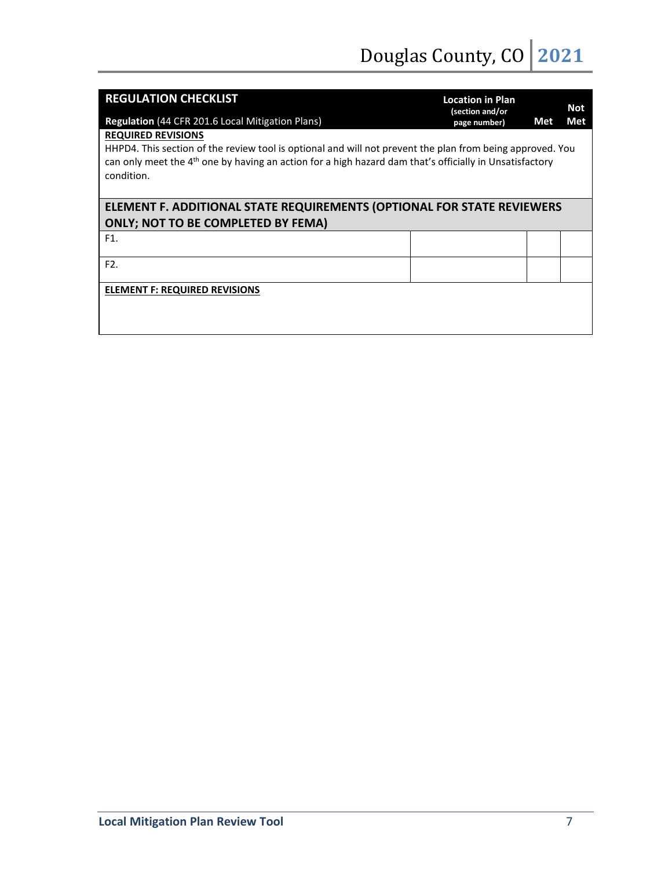| <b>REGULATION CHECKLIST</b>                                                                                                                                                                                                                    | <b>Location in Plan</b><br>(section and/or |     | Not |  |  |
|------------------------------------------------------------------------------------------------------------------------------------------------------------------------------------------------------------------------------------------------|--------------------------------------------|-----|-----|--|--|
| Regulation (44 CFR 201.6 Local Mitigation Plans)                                                                                                                                                                                               | page number)                               | Met | Met |  |  |
| <b>REQUIRED REVISIONS</b>                                                                                                                                                                                                                      |                                            |     |     |  |  |
| HHPD4. This section of the review tool is optional and will not prevent the plan from being approved. You<br>can only meet the 4 <sup>th</sup> one by having an action for a high hazard dam that's officially in Unsatisfactory<br>condition. |                                            |     |     |  |  |
| ELEMENT F. ADDITIONAL STATE REQUIREMENTS (OPTIONAL FOR STATE REVIEWERS                                                                                                                                                                         |                                            |     |     |  |  |
| <b>ONLY; NOT TO BE COMPLETED BY FEMA)</b>                                                                                                                                                                                                      |                                            |     |     |  |  |
| F1.                                                                                                                                                                                                                                            |                                            |     |     |  |  |
| F <sub>2</sub> .                                                                                                                                                                                                                               |                                            |     |     |  |  |
| <b>ELEMENT F: REQUIRED REVISIONS</b>                                                                                                                                                                                                           |                                            |     |     |  |  |
|                                                                                                                                                                                                                                                |                                            |     |     |  |  |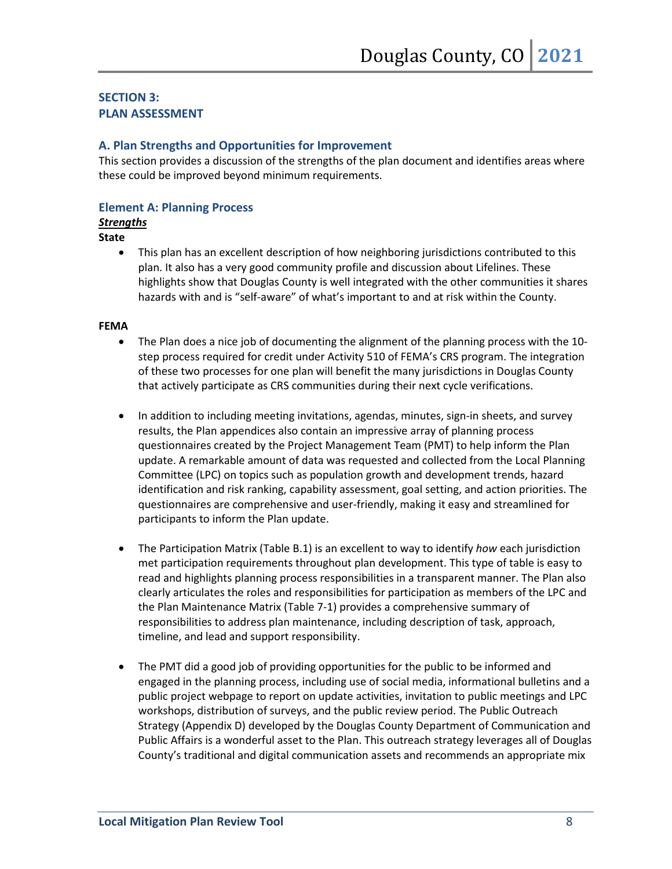#### **SECTION 3: PLAN ASSESSMENT**

#### **A. Plan Strengths and Opportunities for Improvement**

This section provides a discussion of the strengths of the plan document and identifies areas where these could be improved beyond minimum requirements.

#### **Element A: Planning Process**

#### *Strengths*

#### **State**

• This plan has an excellent description of how neighboring jurisdictions contributed to this plan. It also has a very good community profile and discussion about Lifelines. These highlights show that Douglas County is well integrated with the other communities it shares hazards with and is "self-aware" of what's important to and at risk within the County.

- The Plan does a nice job of documenting the alignment of the planning process with the 10 step process required for credit under Activity 510 of FEMA's CRS program. The integration of these two processes for one plan will benefit the many jurisdictions in Douglas County that actively participate as CRS communities during their next cycle verifications.
- In addition to including meeting invitations, agendas, minutes, sign-in sheets, and survey results, the Plan appendices also contain an impressive array of planning process questionnaires created by the Project Management Team (PMT) to help inform the Plan update. A remarkable amount of data was requested and collected from the Local Planning Committee (LPC) on topics such as population growth and development trends, hazard identification and risk ranking, capability assessment, goal setting, and action priorities. The questionnaires are comprehensive and user-friendly, making it easy and streamlined for participants to inform the Plan update.
- The Participation Matrix (Table B.1) is an excellent to way to identify *how* each jurisdiction met participation requirements throughout plan development. This type of table is easy to read and highlights planning process responsibilities in a transparent manner. The Plan also clearly articulates the roles and responsibilities for participation as members of the LPC and the Plan Maintenance Matrix (Table 7-1) provides a comprehensive summary of responsibilities to address plan maintenance, including description of task, approach, timeline, and lead and support responsibility.
- The PMT did a good job of providing opportunities for the public to be informed and engaged in the planning process, including use of social media, informational bulletins and a public project webpage to report on update activities, invitation to public meetings and LPC workshops, distribution of surveys, and the public review period. The Public Outreach Strategy (Appendix D) developed by the Douglas County Department of Communication and Public Affairs is a wonderful asset to the Plan. This outreach strategy leverages all of Douglas County's traditional and digital communication assets and recommends an appropriate mix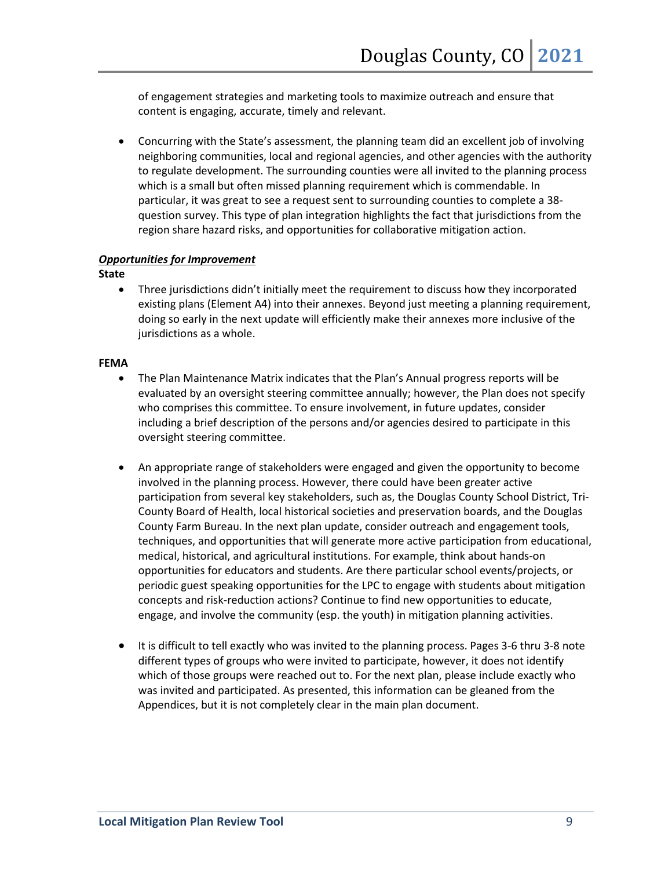of engagement strategies and marketing tools to maximize outreach and ensure that content is engaging, accurate, timely and relevant.

• Concurring with the State's assessment, the planning team did an excellent job of involving neighboring communities, local and regional agencies, and other agencies with the authority to regulate development. The surrounding counties were all invited to the planning process which is a small but often missed planning requirement which is commendable. In particular, it was great to see a request sent to surrounding counties to complete a 38 question survey. This type of plan integration highlights the fact that jurisdictions from the region share hazard risks, and opportunities for collaborative mitigation action.

#### *Opportunities for Improvement*

**State**

• Three jurisdictions didn't initially meet the requirement to discuss how they incorporated existing plans (Element A4) into their annexes. Beyond just meeting a planning requirement, doing so early in the next update will efficiently make their annexes more inclusive of the jurisdictions as a whole.

- The Plan Maintenance Matrix indicates that the Plan's Annual progress reports will be evaluated by an oversight steering committee annually; however, the Plan does not specify who comprises this committee. To ensure involvement, in future updates, consider including a brief description of the persons and/or agencies desired to participate in this oversight steering committee.
- An appropriate range of stakeholders were engaged and given the opportunity to become involved in the planning process. However, there could have been greater active participation from several key stakeholders, such as, the Douglas County School District, Tri-County Board of Health, local historical societies and preservation boards, and the Douglas County Farm Bureau. In the next plan update, consider outreach and engagement tools, techniques, and opportunities that will generate more active participation from educational, medical, historical, and agricultural institutions. For example, think about hands-on opportunities for educators and students. Are there particular school events/projects, or periodic guest speaking opportunities for the LPC to engage with students about mitigation concepts and risk-reduction actions? Continue to find new opportunities to educate, engage, and involve the community (esp. the youth) in mitigation planning activities.
- It is difficult to tell exactly who was invited to the planning process. Pages 3-6 thru 3-8 note different types of groups who were invited to participate, however, it does not identify which of those groups were reached out to. For the next plan, please include exactly who was invited and participated. As presented, this information can be gleaned from the Appendices, but it is not completely clear in the main plan document.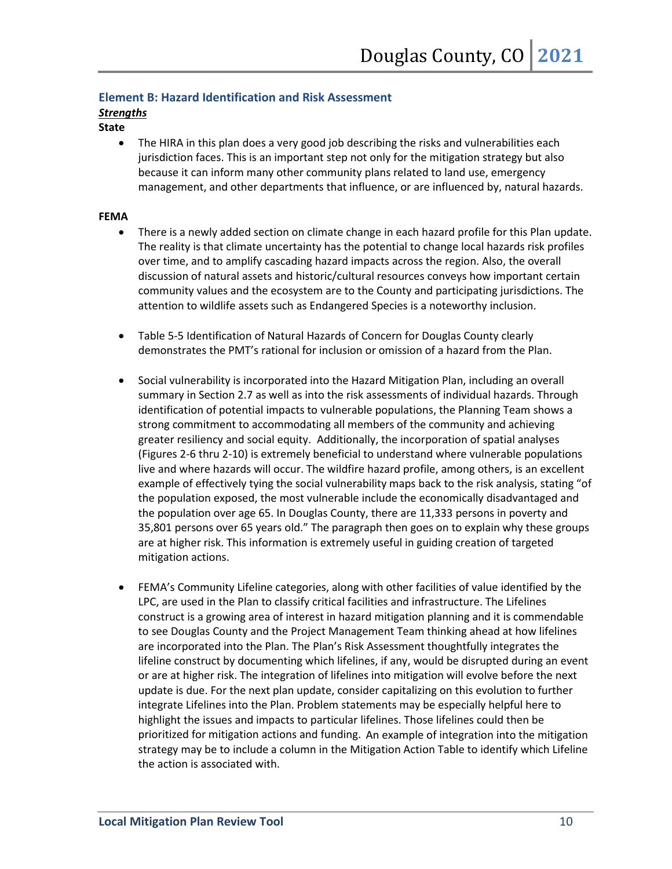#### **Element B: Hazard Identification and Risk Assessment**

#### *Strengths*

#### **State**

• The HIRA in this plan does a very good job describing the risks and vulnerabilities each jurisdiction faces. This is an important step not only for the mitigation strategy but also because it can inform many other community plans related to land use, emergency management, and other departments that influence, or are influenced by, natural hazards.

- There is a newly added section on climate change in each hazard profile for this Plan update. The reality is that climate uncertainty has the potential to change local hazards risk profiles over time, and to amplify cascading hazard impacts across the region. Also, the overall discussion of natural assets and historic/cultural resources conveys how important certain community values and the ecosystem are to the County and participating jurisdictions. The attention to wildlife assets such as Endangered Species is a noteworthy inclusion.
- Table 5-5 Identification of Natural Hazards of Concern for Douglas County clearly demonstrates the PMT's rational for inclusion or omission of a hazard from the Plan.
- Social vulnerability is incorporated into the Hazard Mitigation Plan, including an overall summary in Section 2.7 as well as into the risk assessments of individual hazards. Through identification of potential impacts to vulnerable populations, the Planning Team shows a strong commitment to accommodating all members of the community and achieving greater resiliency and social equity. Additionally, the incorporation of spatial analyses (Figures 2-6 thru 2-10) is extremely beneficial to understand where vulnerable populations live and where hazards will occur. The wildfire hazard profile, among others, is an excellent example of effectively tying the social vulnerability maps back to the risk analysis, stating "of the population exposed, the most vulnerable include the economically disadvantaged and the population over age 65. In Douglas County, there are 11,333 persons in poverty and 35,801 persons over 65 years old." The paragraph then goes on to explain why these groups are at higher risk. This information is extremely useful in guiding creation of targeted mitigation actions.
- FEMA's Community Lifeline categories, along with other facilities of value identified by the LPC, are used in the Plan to classify critical facilities and infrastructure. The Lifelines construct is a growing area of interest in hazard mitigation planning and it is commendable to see Douglas County and the Project Management Team thinking ahead at how lifelines are incorporated into the Plan. The Plan's Risk Assessment thoughtfully integrates the lifeline construct by documenting which lifelines, if any, would be disrupted during an event or are at higher risk. The integration of lifelines into mitigation will evolve before the next update is due. For the next plan update, consider capitalizing on this evolution to further integrate Lifelines into the Plan. Problem statements may be especially helpful here to highlight the issues and impacts to particular lifelines. Those lifelines could then be prioritized for mitigation actions and funding. An example of integration into the mitigation strategy may be to include a column in the Mitigation Action Table to identify which Lifeline the action is associated with.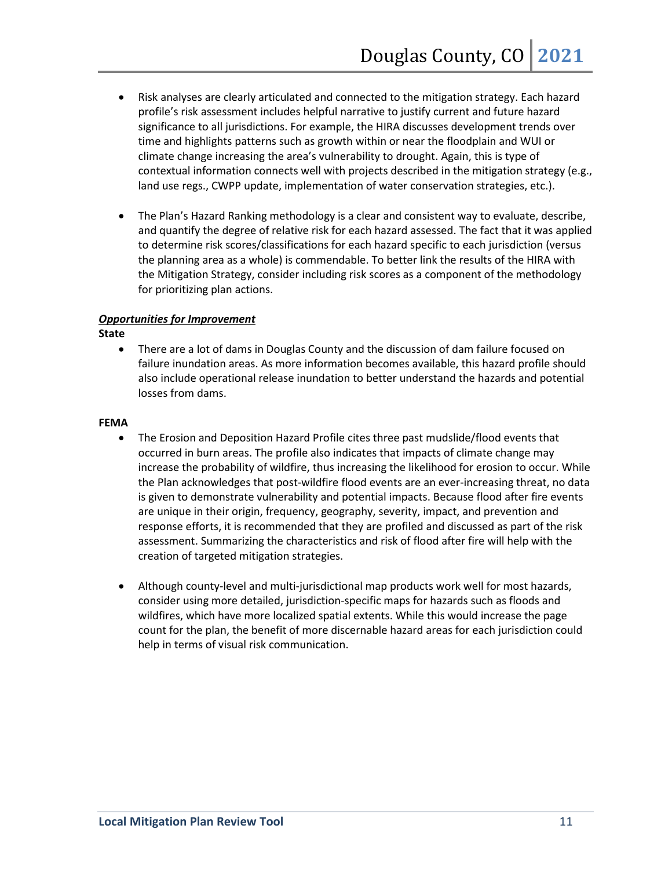- Risk analyses are clearly articulated and connected to the mitigation strategy. Each hazard profile's risk assessment includes helpful narrative to justify current and future hazard significance to all jurisdictions. For example, the HIRA discusses development trends over time and highlights patterns such as growth within or near the floodplain and WUI or climate change increasing the area's vulnerability to drought. Again, this is type of contextual information connects well with projects described in the mitigation strategy (e.g., land use regs., CWPP update, implementation of water conservation strategies, etc.).
- The Plan's Hazard Ranking methodology is a clear and consistent way to evaluate, describe, and quantify the degree of relative risk for each hazard assessed. The fact that it was applied to determine risk scores/classifications for each hazard specific to each jurisdiction (versus the planning area as a whole) is commendable. To better link the results of the HIRA with the Mitigation Strategy, consider including risk scores as a component of the methodology for prioritizing plan actions.

#### *Opportunities for Improvement*

**State**

• There are a lot of dams in Douglas County and the discussion of dam failure focused on failure inundation areas. As more information becomes available, this hazard profile should also include operational release inundation to better understand the hazards and potential losses from dams.

- The Erosion and Deposition Hazard Profile cites three past mudslide/flood events that occurred in burn areas. The profile also indicates that impacts of climate change may increase the probability of wildfire, thus increasing the likelihood for erosion to occur. While the Plan acknowledges that post-wildfire flood events are an ever-increasing threat, no data is given to demonstrate vulnerability and potential impacts. Because flood after fire events are unique in their origin, frequency, geography, severity, impact, and prevention and response efforts, it is recommended that they are profiled and discussed as part of the risk assessment. Summarizing the characteristics and risk of flood after fire will help with the creation of targeted mitigation strategies.
- Although county-level and multi-jurisdictional map products work well for most hazards, consider using more detailed, jurisdiction-specific maps for hazards such as floods and wildfires, which have more localized spatial extents. While this would increase the page count for the plan, the benefit of more discernable hazard areas for each jurisdiction could help in terms of visual risk communication.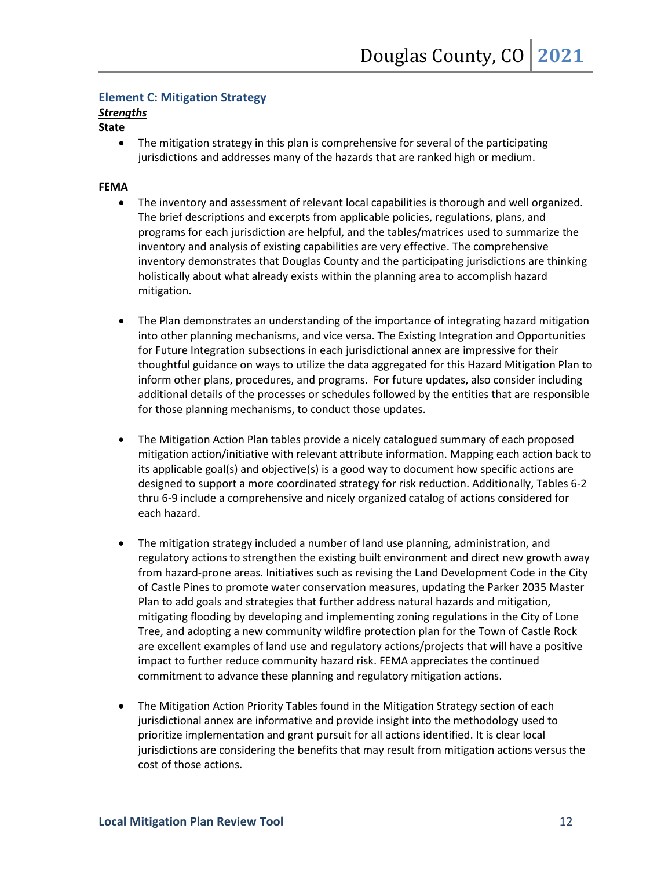#### **Element C: Mitigation Strategy**

#### *Strengths*

#### **State**

• The mitigation strategy in this plan is comprehensive for several of the participating jurisdictions and addresses many of the hazards that are ranked high or medium.

- The inventory and assessment of relevant local capabilities is thorough and well organized. The brief descriptions and excerpts from applicable policies, regulations, plans, and programs for each jurisdiction are helpful, and the tables/matrices used to summarize the inventory and analysis of existing capabilities are very effective. The comprehensive inventory demonstrates that Douglas County and the participating jurisdictions are thinking holistically about what already exists within the planning area to accomplish hazard mitigation.
- The Plan demonstrates an understanding of the importance of integrating hazard mitigation into other planning mechanisms, and vice versa. The Existing Integration and Opportunities for Future Integration subsections in each jurisdictional annex are impressive for their thoughtful guidance on ways to utilize the data aggregated for this Hazard Mitigation Plan to inform other plans, procedures, and programs. For future updates, also consider including additional details of the processes or schedules followed by the entities that are responsible for those planning mechanisms, to conduct those updates.
- The Mitigation Action Plan tables provide a nicely catalogued summary of each proposed mitigation action/initiative with relevant attribute information. Mapping each action back to its applicable goal(s) and objective(s) is a good way to document how specific actions are designed to support a more coordinated strategy for risk reduction. Additionally, Tables 6-2 thru 6-9 include a comprehensive and nicely organized catalog of actions considered for each hazard.
- The mitigation strategy included a number of land use planning, administration, and regulatory actions to strengthen the existing built environment and direct new growth away from hazard-prone areas. Initiatives such as revising the Land Development Code in the City of Castle Pines to promote water conservation measures, updating the Parker 2035 Master Plan to add goals and strategies that further address natural hazards and mitigation, mitigating flooding by developing and implementing zoning regulations in the City of Lone Tree, and adopting a new community wildfire protection plan for the Town of Castle Rock are excellent examples of land use and regulatory actions/projects that will have a positive impact to further reduce community hazard risk. FEMA appreciates the continued commitment to advance these planning and regulatory mitigation actions.
- The Mitigation Action Priority Tables found in the Mitigation Strategy section of each jurisdictional annex are informative and provide insight into the methodology used to prioritize implementation and grant pursuit for all actions identified. It is clear local jurisdictions are considering the benefits that may result from mitigation actions versus the cost of those actions.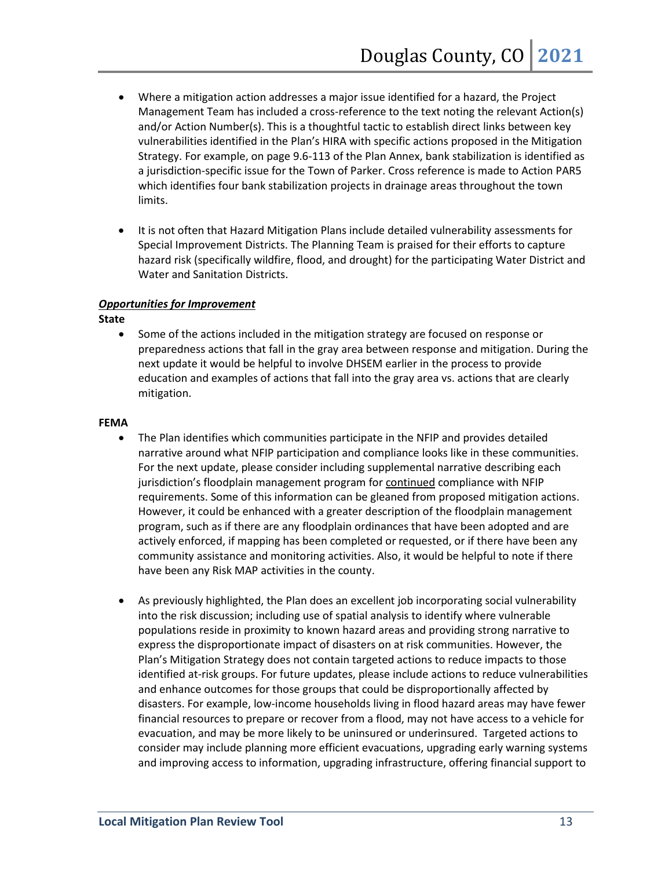- Where a mitigation action addresses a major issue identified for a hazard, the Project Management Team has included a cross-reference to the text noting the relevant Action(s) and/or Action Number(s). This is a thoughtful tactic to establish direct links between key vulnerabilities identified in the Plan's HIRA with specific actions proposed in the Mitigation Strategy. For example, on page 9.6-113 of the Plan Annex, bank stabilization is identified as a jurisdiction-specific issue for the Town of Parker. Cross reference is made to Action PAR5 which identifies four bank stabilization projects in drainage areas throughout the town limits.
- It is not often that Hazard Mitigation Plans include detailed vulnerability assessments for Special Improvement Districts. The Planning Team is praised for their efforts to capture hazard risk (specifically wildfire, flood, and drought) for the participating Water District and Water and Sanitation Districts.

#### *Opportunities for Improvement*

**State**

• Some of the actions included in the mitigation strategy are focused on response or preparedness actions that fall in the gray area between response and mitigation. During the next update it would be helpful to involve DHSEM earlier in the process to provide education and examples of actions that fall into the gray area vs. actions that are clearly mitigation.

- The Plan identifies which communities participate in the NFIP and provides detailed narrative around what NFIP participation and compliance looks like in these communities. For the next update, please consider including supplemental narrative describing each jurisdiction's floodplain management program for continued compliance with NFIP requirements. Some of this information can be gleaned from proposed mitigation actions. However, it could be enhanced with a greater description of the floodplain management program, such as if there are any floodplain ordinances that have been adopted and are actively enforced, if mapping has been completed or requested, or if there have been any community assistance and monitoring activities. Also, it would be helpful to note if there have been any Risk MAP activities in the county.
- As previously highlighted, the Plan does an excellent job incorporating social vulnerability into the risk discussion; including use of spatial analysis to identify where vulnerable populations reside in proximity to known hazard areas and providing strong narrative to express the disproportionate impact of disasters on at risk communities. However, the Plan's Mitigation Strategy does not contain targeted actions to reduce impacts to those identified at-risk groups. For future updates, please include actions to reduce vulnerabilities and enhance outcomes for those groups that could be disproportionally affected by disasters. For example, low-income households living in flood hazard areas may have fewer financial resources to prepare or recover from a flood, may not have access to a vehicle for evacuation, and may be more likely to be uninsured or underinsured. Targeted actions to consider may include planning more efficient evacuations, upgrading early warning systems and improving access to information, upgrading infrastructure, offering financial support to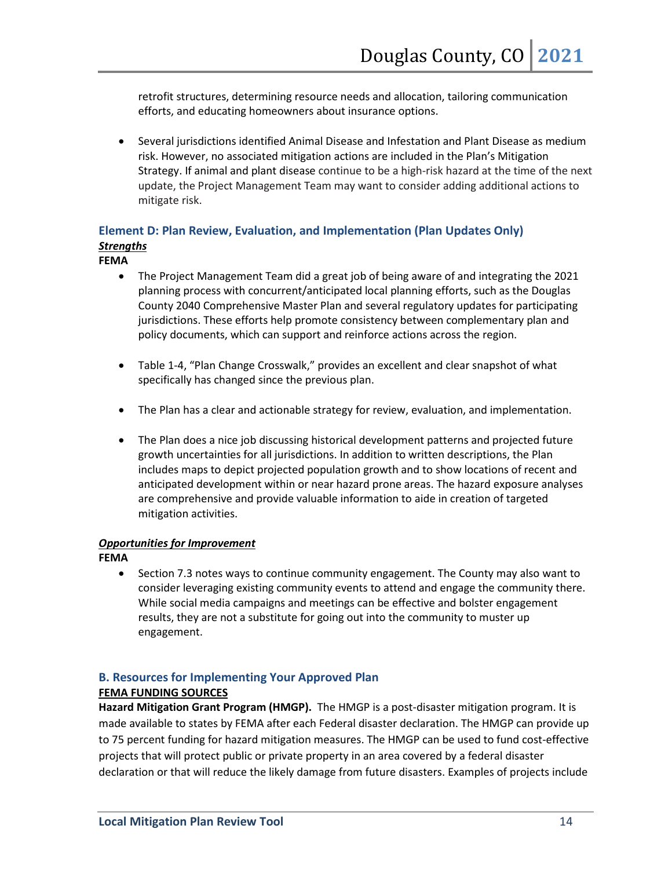retrofit structures, determining resource needs and allocation, tailoring communication efforts, and educating homeowners about insurance options.

• Several jurisdictions identified Animal Disease and Infestation and Plant Disease as medium risk. However, no associated mitigation actions are included in the Plan's Mitigation Strategy. If animal and plant disease continue to be a high-risk hazard at the time of the next update, the Project Management Team may want to consider adding additional actions to mitigate risk.

## **Element D: Plan Review, Evaluation, and Implementation (Plan Updates Only)** *Strengths*

#### **FEMA**

- The Project Management Team did a great job of being aware of and integrating the 2021 planning process with concurrent/anticipated local planning efforts, such as the Douglas County 2040 Comprehensive Master Plan and several regulatory updates for participating jurisdictions. These efforts help promote consistency between complementary plan and policy documents, which can support and reinforce actions across the region.
- Table 1-4, "Plan Change Crosswalk," provides an excellent and clear snapshot of what specifically has changed since the previous plan.
- The Plan has a clear and actionable strategy for review, evaluation, and implementation.
- The Plan does a nice job discussing historical development patterns and projected future growth uncertainties for all jurisdictions. In addition to written descriptions, the Plan includes maps to depict projected population growth and to show locations of recent and anticipated development within or near hazard prone areas. The hazard exposure analyses are comprehensive and provide valuable information to aide in creation of targeted mitigation activities.

#### *Opportunities for Improvement*

**FEMA**

• Section 7.3 notes ways to continue community engagement. The County may also want to consider leveraging existing community events to attend and engage the community there. While social media campaigns and meetings can be effective and bolster engagement results, they are not a substitute for going out into the community to muster up engagement.

#### **B. Resources for Implementing Your Approved Plan**

#### **FEMA FUNDING SOURCES**

**Hazard Mitigation Grant Program (HMGP).**The HMGP is a post-disaster mitigation program. It is made available to states by FEMA after each Federal disaster declaration. The HMGP can provide up to 75 percent funding for hazard mitigation measures. The HMGP can be used to fund cost-effective projects that will protect public or private property in an area covered by a federal disaster declaration or that will reduce the likely damage from future disasters. Examples of projects include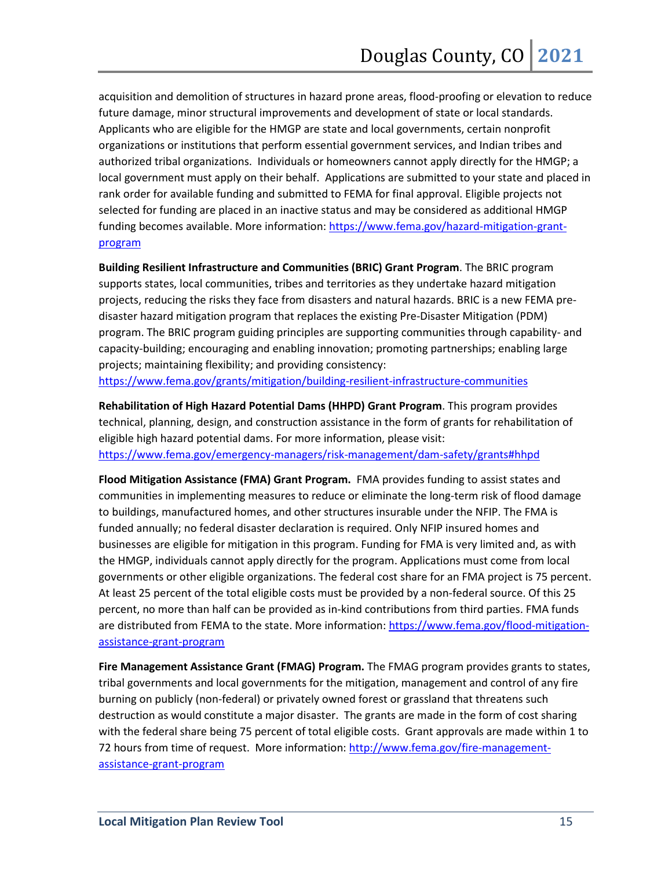acquisition and demolition of structures in hazard prone areas, flood-proofing or elevation to reduce future damage, minor structural improvements and development of state or local standards. Applicants who are eligible for the HMGP are state and local governments, certain nonprofit organizations or institutions that perform essential government services, and Indian tribes and authorized tribal organizations. Individuals or homeowners cannot apply directly for the HMGP; a local government must apply on their behalf. Applications are submitted to your state and placed in rank order for available funding and submitted to FEMA for final approval. Eligible projects not selected for funding are placed in an inactive status and may be considered as additional HMGP funding becomes available. More information: [https://www.fema.gov/hazard-mitigation-grant](https://www.fema.gov/hazard-mitigation-grant-program)[program](https://www.fema.gov/hazard-mitigation-grant-program)

**Building Resilient Infrastructure and Communities (BRIC) Grant Program**. The BRIC program supports states, local communities, tribes and territories as they undertake hazard mitigation projects, reducing the risks they face from disasters and natural hazards. BRIC is a new FEMA predisaster hazard mitigation program that replaces the existing Pre-Disaster Mitigation (PDM) program. The BRIC program guiding principles are supporting communities through capability- and capacity-building; encouraging and enabling innovation; promoting partnerships; enabling large projects; maintaining flexibility; and providing consistency:

<https://www.fema.gov/grants/mitigation/building-resilient-infrastructure-communities>

**Rehabilitation of High Hazard Potential Dams (HHPD) Grant Program**. This program provides technical, planning, design, and construction assistance in the form of grants for rehabilitation of eligible high hazard potential dams. For more information, please visit: <https://www.fema.gov/emergency-managers/risk-management/dam-safety/grants#hhpd>

**Flood Mitigation Assistance (FMA) Grant Program.** FMA provides funding to assist states and communities in implementing measures to reduce or eliminate the long-term risk of flood damage to buildings, manufactured homes, and other structures insurable under the NFIP. The FMA is funded annually; no federal disaster declaration is required. Only NFIP insured homes and businesses are eligible for mitigation in this program. Funding for FMA is very limited and, as with the HMGP, individuals cannot apply directly for the program. Applications must come from local governments or other eligible organizations. The federal cost share for an FMA project is 75 percent. At least 25 percent of the total eligible costs must be provided by a non-federal source. Of this 25 percent, no more than half can be provided as in-kind contributions from third parties. FMA funds are distributed from FEMA to the state. More information: [https://www.fema.gov/flood-mitigation](https://www.fema.gov/flood-mitigation-assistance-grant-program)[assistance-grant-program](https://www.fema.gov/flood-mitigation-assistance-grant-program)

**Fire Management Assistance Grant (FMAG) Program.** The FMAG program provides grants to states, tribal governments and local governments for the mitigation, management and control of any fire burning on publicly (non-federal) or privately owned forest or grassland that threatens such destruction as would constitute a major disaster. The grants are made in the form of cost sharing with the federal share being 75 percent of total eligible costs. Grant approvals are made within 1 to 72 hours from time of request. More information: [http://www.fema.gov/fire-management](http://www.fema.gov/fire-management-assistance-grant-program)[assistance-grant-program](http://www.fema.gov/fire-management-assistance-grant-program)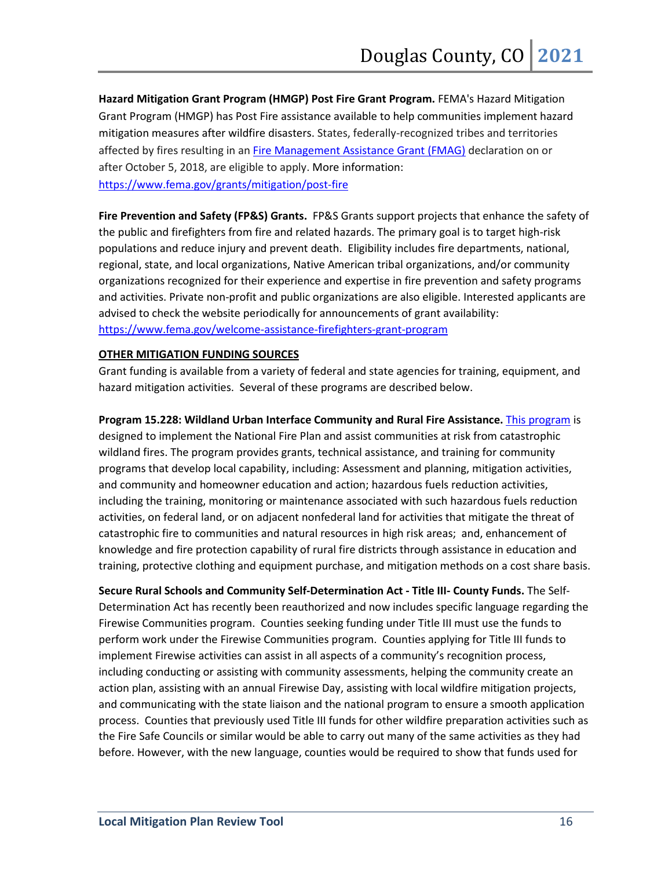**Hazard Mitigation Grant Program (HMGP) Post Fire Grant Program.** FEMA's Hazard Mitigation Grant Program (HMGP) has Post Fire assistance available to help communities implement hazard mitigation measures after wildfire disasters. States, federally-recognized tribes and territories affected by fires resulting in a[n Fire Management Assistance Grant \(FMAG\)](https://www.fema.gov/assistance/public/fire-management-assistance) declaration on or after October 5, 2018, are eligible to apply. More information: <https://www.fema.gov/grants/mitigation/post-fire>

**Fire Prevention and Safety (FP&S) Grants.** FP&S Grants support projects that enhance the safety of the public and firefighters from fire and related hazards. The primary goal is to target high-risk populations and reduce injury and prevent death. Eligibility includes fire departments, national, regional, state, and local organizations, Native American tribal organizations, and/or community organizations recognized for their experience and expertise in fire prevention and safety programs and activities. Private non-profit and public organizations are also eligible. Interested applicants are advised to check the website periodically for announcements of grant availability: <https://www.fema.gov/welcome-assistance-firefighters-grant-program>

#### **OTHER MITIGATION FUNDING SOURCES**

Grant funding is available from a variety of federal and state agencies for training, equipment, and hazard mitigation activities. Several of these programs are described below.

**Program 15.228: Wildland Urban Interface Community and Rural Fire Assistance.** [This program](http://www.federalgrantswire.com/wildland-urban-interface-community-and-rural-fire-assistance.html) is designed to implement the National Fire Plan and assist communities at risk from catastrophic wildland fires. The program provides grants, technical assistance, and training for community

programs that develop local capability, including: Assessment and planning, mitigation activities, and community and homeowner education and action; hazardous fuels reduction activities, including the training, monitoring or maintenance associated with such hazardous fuels reduction activities, on federal land, or on adjacent nonfederal land for activities that mitigate the threat of catastrophic fire to communities and natural resources in high risk areas; and, enhancement of knowledge and fire protection capability of rural fire districts through assistance in education and training, protective clothing and equipment purchase, and mitigation methods on a cost share basis.

**Secure Rural Schools and Community Self-Determination Act - Title III- County Funds.** The Self-Determination Act has recently been reauthorized and now includes specific language regarding the Firewise Communities program. Counties seeking funding under Title III must use the funds to perform work under the Firewise Communities program. Counties applying for Title III funds to implement Firewise activities can assist in all aspects of a community's recognition process, including conducting or assisting with community assessments, helping the community create an action plan, assisting with an annual Firewise Day, assisting with local wildfire mitigation projects, and communicating with the state liaison and the national program to ensure a smooth application process. Counties that previously used Title III funds for other wildfire preparation activities such as the Fire Safe Councils or similar would be able to carry out many of the same activities as they had before. However, with the new language, counties would be required to show that funds used for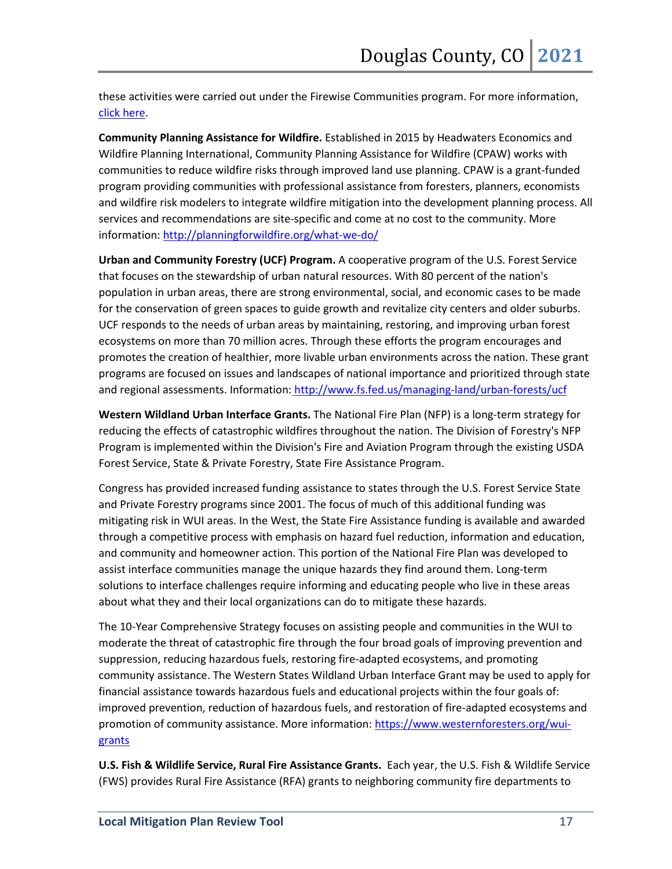these activities were carried out under the Firewise Communities program. For more information, [click here.](https://www.fs.usda.gov/working-with-us/secure-rural-schools/categories)

**Community Planning Assistance for Wildfire.** Established in 2015 by Headwaters Economics and Wildfire Planning International, Community Planning Assistance for Wildfire (CPAW) works with communities to reduce wildfire risks through improved land use planning. CPAW is a grant-funded program providing communities with professional assistance from foresters, planners, economists and wildfire risk modelers to integrate wildfire mitigation into the development planning process. All services and recommendations are site-specific and come at no cost to the community. More information[: http://planningforwildfire.org/what-we-do/](http://planningforwildfire.org/what-we-do/)

**Urban and Community Forestry (UCF) Program.** A cooperative program of the U.S. Forest Service that focuses on the stewardship of urban natural resources. With 80 percent of the nation's population in urban areas, there are strong environmental, social, and economic cases to be made for the conservation of green spaces to guide growth and revitalize city centers and older suburbs. UCF responds to the needs of urban areas by maintaining, restoring, and improving urban forest ecosystems on more than 70 million acres. Through these efforts the program encourages and promotes the creation of healthier, more livable urban environments across the nation. These grant programs are focused on issues and landscapes of national importance and prioritized through state and regional assessments. Information: <http://www.fs.fed.us/managing-land/urban-forests/ucf>

**Western Wildland Urban Interface Grants.** The National Fire Plan (NFP) is a long-term strategy for reducing the effects of catastrophic wildfires throughout the nation. The Division of Forestry's NFP Program is implemented within the Division's Fire and Aviation Program through the existing USDA Forest Service, State & Private Forestry, State Fire Assistance Program.

Congress has provided increased funding assistance to states through the U.S. Forest Service State and Private Forestry programs since 2001. The focus of much of this additional funding was mitigating risk in WUI areas. In the West, the State Fire Assistance funding is available and awarded through a competitive process with emphasis on hazard fuel reduction, information and education, and community and homeowner action. This portion of the National Fire Plan was developed to assist interface communities manage the unique hazards they find around them. Long-term solutions to interface challenges require informing and educating people who live in these areas about what they and their local organizations can do to mitigate these hazards.

The 10-Year Comprehensive Strategy focuses on assisting people and communities in the WUI to moderate the threat of catastrophic fire through the four broad goals of improving prevention and suppression, reducing hazardous fuels, restoring fire-adapted ecosystems, and promoting community assistance. The Western States Wildland Urban Interface Grant may be used to apply for financial assistance towards hazardous fuels and educational projects within the four goals of: improved prevention, reduction of hazardous fuels, and restoration of fire-adapted ecosystems and promotion of community assistance. More information[: https://www.westernforesters.org/wui](https://www.westernforesters.org/wui-grants)[grants](https://www.westernforesters.org/wui-grants)

**U.S. Fish & Wildlife Service, Rural Fire Assistance Grants.** Each year, the U.S. Fish & Wildlife Service (FWS) provides Rural Fire Assistance (RFA) grants to neighboring community fire departments to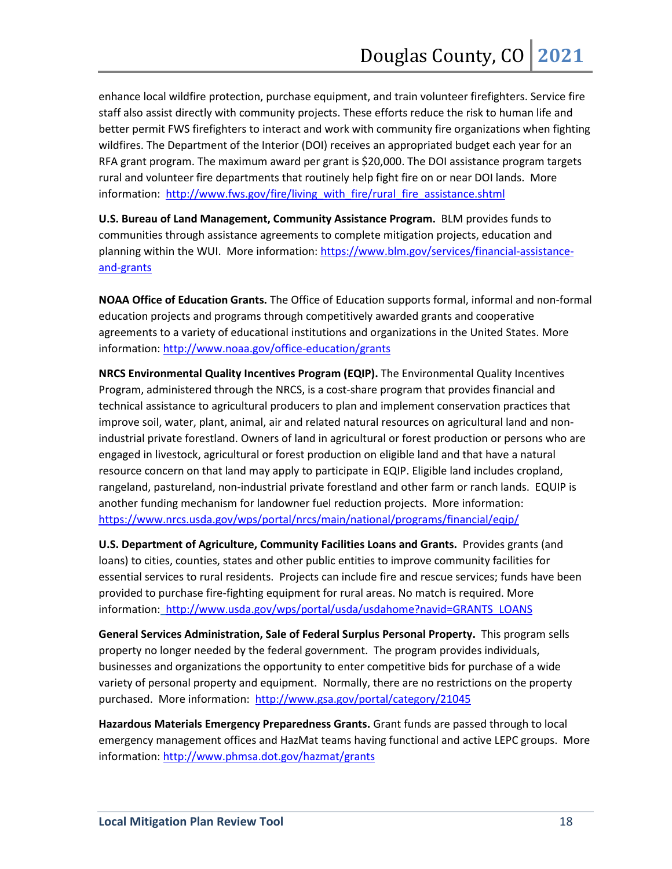enhance local wildfire protection, purchase equipment, and train volunteer firefighters. Service fire staff also assist directly with community projects. These efforts reduce the risk to human life and better permit FWS firefighters to interact and work with community fire organizations when fighting wildfires. The Department of the Interior (DOI) receives an appropriated budget each year for an RFA grant program. The maximum award per grant is \$20,000. The DOI assistance program targets rural and volunteer fire departments that routinely help fight fire on or near DOI lands. More information: [http://www.fws.gov/fire/living\\_with\\_fire/rural\\_fire\\_assistance.shtml](http://www.fws.gov/fire/living_with_fire/rural_fire_assistance.shtml)

**U.S. Bureau of Land Management, Community Assistance Program.**BLM provides funds to communities through assistance agreements to complete mitigation projects, education and planning within the WUI. More information: [https://www.blm.gov/services/financial-assistance](https://www.blm.gov/services/financial-assistance-and-grants)[and-grants](https://www.blm.gov/services/financial-assistance-and-grants)

**NOAA Office of Education Grants.** The Office of Education supports formal, informal and non-formal education projects and programs through competitively awarded grants and cooperative agreements to a variety of educational institutions and organizations in the United States. More information[: http://www.noaa.gov/office-education/grants](http://www.noaa.gov/office-education/grants)

**NRCS Environmental Quality Incentives Program (EQIP).** The Environmental Quality Incentives Program, administered through the NRCS, is a cost-share program that provides financial and technical assistance to agricultural producers to plan and implement conservation practices that improve soil, water, plant, animal, air and related natural resources on agricultural land and nonindustrial private forestland. Owners of land in agricultural or forest production or persons who are engaged in livestock, agricultural or forest production on eligible land and that have a natural resource concern on that land may apply to participate in EQIP. Eligible land includes cropland, rangeland, pastureland, non-industrial private forestland and other farm or ranch lands. EQUIP is another funding mechanism for landowner fuel reduction projects. More information: <https://www.nrcs.usda.gov/wps/portal/nrcs/main/national/programs/financial/eqip/>

**U.S. Department of Agriculture, Community Facilities Loans and Grants.** Provides grants (and loans) to cities, counties, states and other public entities to improve community facilities for essential services to rural residents. Projects can include fire and rescue services; funds have been provided to purchase fire-fighting equipment for rural areas. No match is required. More information: [http://www.usda.gov/wps/portal/usda/usdahome?navid=GRANTS\\_LOANS](http://www.usda.gov/wps/portal/usda/usdahome?navid=GRANTS_LOANS)

**General Services Administration, Sale of Federal Surplus Personal Property.** This program sells property no longer needed by the federal government. The program provides individuals, businesses and organizations the opportunity to enter competitive bids for purchase of a wide variety of personal property and equipment. Normally, there are no restrictions on the property purchased. More information:<http://www.gsa.gov/portal/category/21045>

**Hazardous Materials Emergency Preparedness Grants.** Grant funds are passed through to local emergency management offices and HazMat teams having functional and active LEPC groups. More information[: http://www.phmsa.dot.gov/hazmat/grants](http://www.phmsa.dot.gov/hazmat/grants)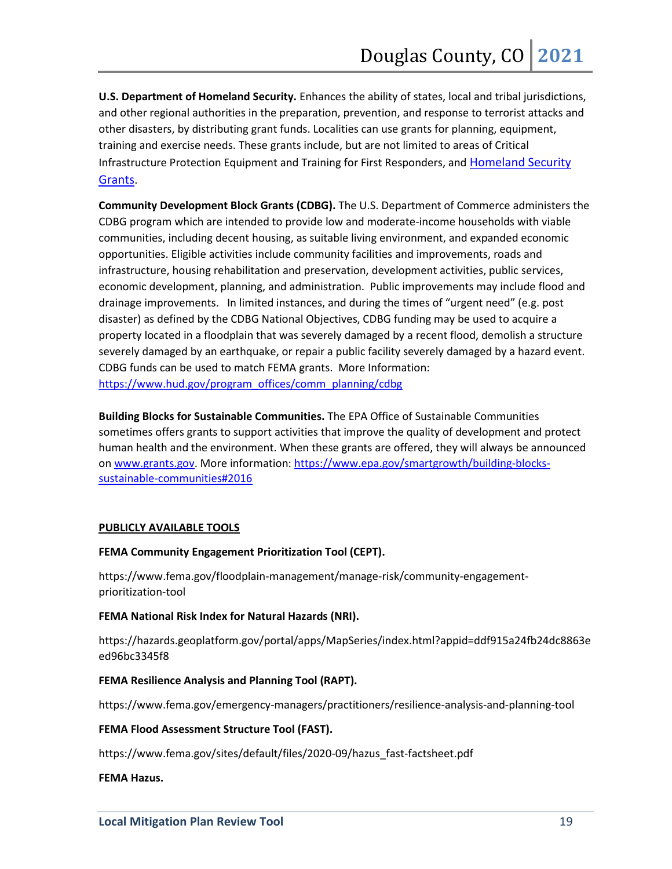**U.S. Department of Homeland Security.** Enhances the ability of states, local and tribal jurisdictions, and other regional authorities in the preparation, prevention, and response to terrorist attacks and other disasters, by distributing grant funds. Localities can use grants for planning, equipment, training and exercise needs. These grants include, but are not limited to areas of Critical Infrastructure Protection Equipment and Training for First Responders, and [Homeland Security](https://www.dhs.gov/dhs-grants#:%7E:text=DHS%20Grants%20The%20Department%20of%20Homeland%20Security%20%28DHS%29,useful%20information%20on%20current%20grants%20available%20to%20IHEs.)  [Grants.](https://www.dhs.gov/dhs-grants#:%7E:text=DHS%20Grants%20The%20Department%20of%20Homeland%20Security%20%28DHS%29,useful%20information%20on%20current%20grants%20available%20to%20IHEs.)

**Community Development Block Grants (CDBG).** The U.S. Department of Commerce administers the CDBG program which are intended to provide low and moderate-income households with viable communities, including decent housing, as suitable living environment, and expanded economic opportunities. Eligible activities include community facilities and improvements, roads and infrastructure, housing rehabilitation and preservation, development activities, public services, economic development, planning, and administration. Public improvements may include flood and drainage improvements. In limited instances, and during the times of "urgent need" (e.g. post disaster) as defined by the CDBG National Objectives, CDBG funding may be used to acquire a property located in a floodplain that was severely damaged by a recent flood, demolish a structure severely damaged by an earthquake, or repair a public facility severely damaged by a hazard event. CDBG funds can be used to match FEMA grants. More Information: [https://www.hud.gov/program\\_offices/comm\\_planning/cdbg](https://www.hud.gov/program_offices/comm_planning/cdbg)

**Building Blocks for Sustainable Communities.** The EPA Office of Sustainable Communities sometimes offers grants to support activities that improve the quality of development and protect human health and the environment. When these grants are offered, they will always be announced on [www.grants.gov.](http://www.grants.gov/) More information: [https://www.epa.gov/smartgrowth/building-blocks](https://www.epa.gov/smartgrowth/building-blocks-sustainable-communities#2016)[sustainable-communities#2016](https://www.epa.gov/smartgrowth/building-blocks-sustainable-communities#2016)

#### **PUBLICLY AVAILABLE TOOLS**

#### **FEMA Community Engagement Prioritization Tool (CEPT).**

https://www.fema.gov/floodplain-management/manage-risk/community-engagementprioritization-tool

#### **FEMA National Risk Index for Natural Hazards (NRI).**

https://hazards.geoplatform.gov/portal/apps/MapSeries/index.html?appid=ddf915a24fb24dc8863e ed96bc3345f8

#### **FEMA Resilience Analysis and Planning Tool (RAPT).**

https://www.fema.gov/emergency-managers/practitioners/resilience-analysis-and-planning-tool

#### **FEMA Flood Assessment Structure Tool (FAST).**

https://www.fema.gov/sites/default/files/2020-09/hazus\_fast-factsheet.pdf

#### **FEMA Hazus.**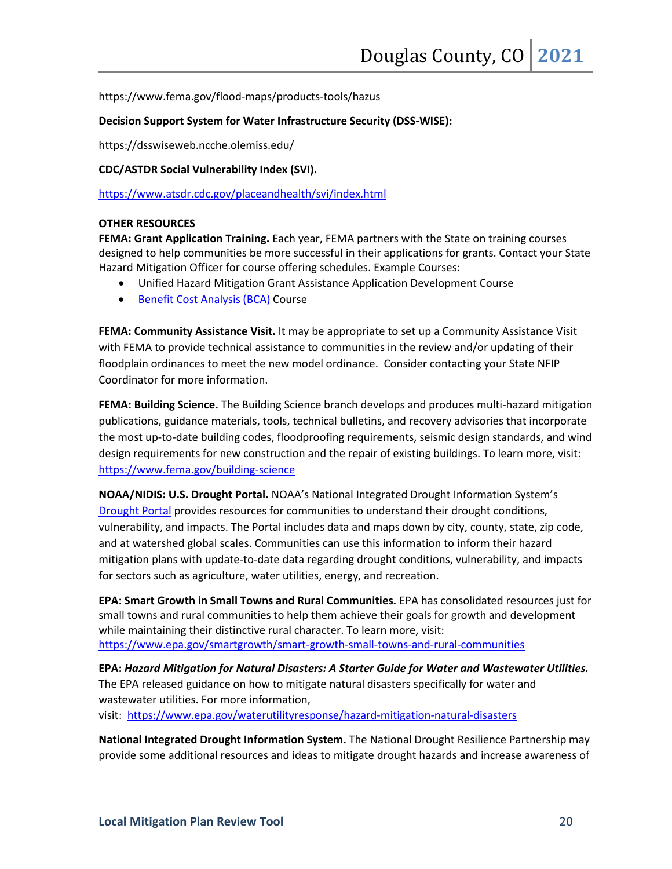https://www.fema.gov/flood-maps/products-tools/hazus

#### **Decision Support System for Water Infrastructure Security (DSS-WISE):**

https://dsswiseweb.ncche.olemiss.edu/

**CDC/ASTDR Social Vulnerability Index (SVI).**

<https://www.atsdr.cdc.gov/placeandhealth/svi/index.html>

#### **OTHER RESOURCES**

**FEMA: Grant Application Training.** Each year, FEMA partners with the State on training courses designed to help communities be more successful in their applications for grants. Contact your State Hazard Mitigation Officer for course offering schedules. Example Courses:

- Unified Hazard Mitigation Grant Assistance Application Development Course
- [Benefit Cost Analysis \(BCA\)](https://www.fema.gov/benefit-cost-analysis) Course

**FEMA: Community Assistance Visit.** It may be appropriate to set up a Community Assistance Visit with FEMA to provide technical assistance to communities in the review and/or updating of their floodplain ordinances to meet the new model ordinance. Consider contacting your State NFIP Coordinator for more information.

**FEMA: Building Science.** The Building Science branch develops and produces multi-hazard mitigation publications, guidance materials, tools, technical bulletins, and recovery advisories that incorporate the most up-to-date building codes, floodproofing requirements, seismic design standards, and wind design requirements for new construction and the repair of existing buildings. To learn more, visit: <https://www.fema.gov/building-science>

**NOAA/NIDIS: U.S. Drought Portal.** NOAA's National Integrated Drought Information System's [Drought Portal](https://www.drought.gov/) provides resources for communities to understand their drought conditions, vulnerability, and impacts. The Portal includes data and maps down by city, county, state, zip code, and at watershed global scales. Communities can use this information to inform their hazard mitigation plans with update-to-date data regarding drought conditions, vulnerability, and impacts for sectors such as agriculture, water utilities, energy, and recreation.

**EPA: Smart Growth in Small Towns and Rural Communities.** EPA has consolidated resources just for small towns and rural communities to help them achieve their goals for growth and development while maintaining their distinctive rural character. To learn more, visit: <https://www.epa.gov/smartgrowth/smart-growth-small-towns-and-rural-communities>

**EPA:** *Hazard Mitigation for Natural Disasters: A Starter Guide for Water and Wastewater Utilities.* The EPA released guidance on how to mitigate natural disasters specifically for water and wastewater utilities. For more information, visit: <https://www.epa.gov/waterutilityresponse/hazard-mitigation-natural-disasters>

**National Integrated Drought Information System.** The National Drought Resilience Partnership may provide some additional resources and ideas to mitigate drought hazards and increase awareness of